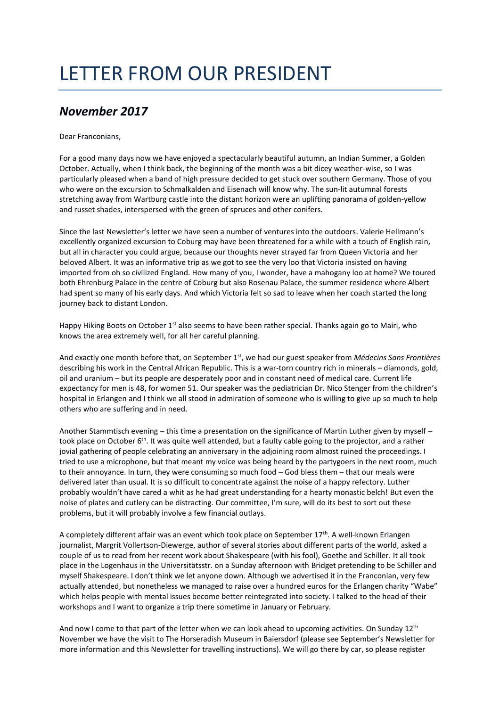## LETTER FROM OUR PRESIDENT

## *November 2017*

Dear Franconians,

For a good many days now we have enjoyed a spectacularly beautiful autumn, an Indian Summer, a Golden October. Actually, when I think back, the beginning of the month was a bit dicey weather-wise, so I was particularly pleased when a band of high pressure decided to get stuck over southern Germany. Those of you who were on the excursion to Schmalkalden and Eisenach will know why. The sun-lit autumnal forests stretching away from Wartburg castle into the distant horizon were an uplifting panorama of golden-yellow and russet shades, interspersed with the green of spruces and other conifers.

Since the last Newsletter's letter we have seen a number of ventures into the outdoors. Valerie Hellmann's excellently organized excursion to Coburg may have been threatened for a while with a touch of English rain, but all in character you could argue, because our thoughts never strayed far from Queen Victoria and her beloved Albert. It was an informative trip as we got to see the very loo that Victoria insisted on having imported from oh so civilized England. How many of you, I wonder, have a mahogany loo at home? We toured both Ehrenburg Palace in the centre of Coburg but also Rosenau Palace, the summer residence where Albert had spent so many of his early days. And which Victoria felt so sad to leave when her coach started the long journey back to distant London.

Happy Hiking Boots on October 1<sup>st</sup> also seems to have been rather special. Thanks again go to Mairi, who knows the area extremely well, for all her careful planning.

And exactly one month before that, on September 1<sup>st</sup>, we had our guest speaker from *Médecins Sans Frontières* describing his work in the Central African Republic. This is a war-torn country rich in minerals – diamonds, gold, oil and uranium – but its people are desperately poor and in constant need of medical care. Current life expectancy for men is 48, for women 51. Our speaker was the pediatrician Dr. Nico Stenger from the children's hospital in Erlangen and I think we all stood in admiration of someone who is willing to give up so much to help others who are suffering and in need.

Another Stammtisch evening – this time a presentation on the significance of Martin Luther given by myself – took place on October  $6<sup>th</sup>$ . It was quite well attended, but a faulty cable going to the projector, and a rather jovial gathering of people celebrating an anniversary in the adjoining room almost ruined the proceedings. I tried to use a microphone, but that meant my voice was being heard by the partygoers in the next room, much to their annoyance. In turn, they were consuming so much food – God bless them – that our meals were delivered later than usual. It is so difficult to concentrate against the noise of a happy refectory. Luther probably wouldn't have cared a whit as he had great understanding for a hearty monastic belch! But even the noise of plates and cutlery can be distracting. Our committee, I'm sure, will do its best to sort out these problems, but it will probably involve a few financial outlays.

A completely different affair was an event which took place on September 17th. A well-known Erlangen journalist, Margrit Vollertson-Diewerge, author of several stories about different parts of the world, asked a couple of us to read from her recent work about Shakespeare (with his fool), Goethe and Schiller. It all took place in the Logenhaus in the Universitätsstr. on a Sunday afternoon with Bridget pretending to be Schiller and myself Shakespeare. I don't think we let anyone down. Although we advertised it in the Franconian, very few actually attended, but nonetheless we managed to raise over a hundred euros for the Erlangen charity "Wabe" which helps people with mental issues become better reintegrated into society. I talked to the head of their workshops and I want to organize a trip there sometime in January or February.

And now I come to that part of the letter when we can look ahead to upcoming activities. On Sunday 12<sup>th</sup> November we have the visit to The Horseradish Museum in Baiersdorf (please see September's Newsletter for more information and this Newsletter for travelling instructions). We will go there by car, so please register